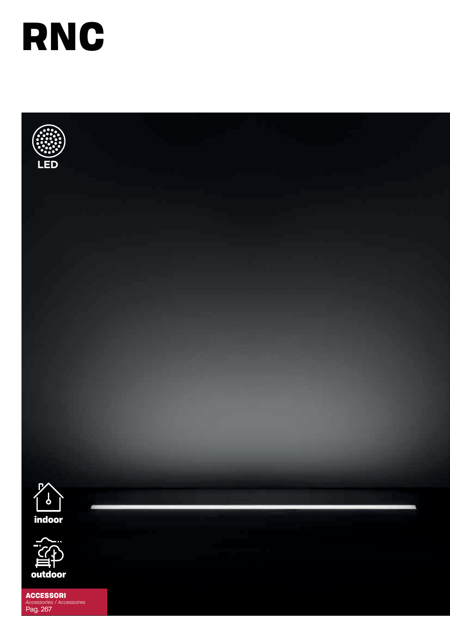





ACCESSORI *Accessories / Accessoires* Pag. 267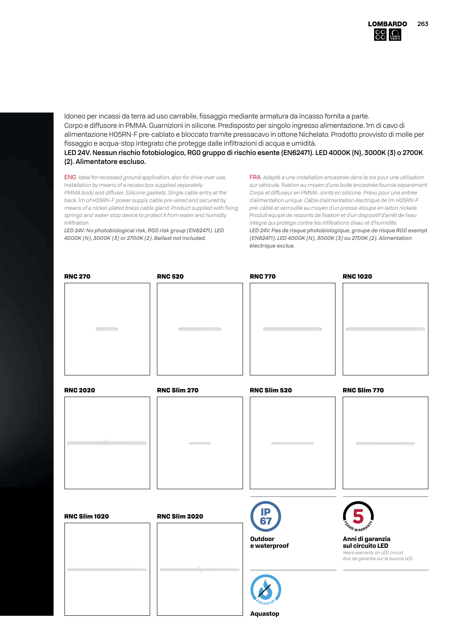Idoneo per incassi da terra ad uso carrabile, fissaggio mediante armatura da incasso fornita a parte. Corpo e diffusore in PMMA. Guarnizioni in silicone. Predisposto per singolo ingresso alimentazione. 1m di cavo di alimentazione H05RN-F pre-cablato e bloccato tramite pressacavo in ottone Nichelato. Prodotto provvisto di molle per fissaggio e acqua-stop integrato che protegge dalle infiltrazioni di acqua e umidità. LED 24V. Nessun rischio fotobiologico, RG0 gruppo di rischio esente (EN62471). LED 4000K (N), 3000K (3) o 2700K

(2). Alimentatore escluso.

ENG *Ideal for recessed ground application, also for drive-over use. Installation by means of a recess box supplied separately. PMMA body and diffuser. Silicone gaskets. Single cable entry at the back. 1m of H05RN-F power supply cable pre-wired and secured by means of a nickel-plated brass cable gland. Product supplied with fixing springs and water-stop device to protect it from water and humidity infiltration.*

*LED 24V. No photobiological risk, RG0 risk group (EN62471). LED 4000K (N), 3000K (3) or 2700K (2). Ballast not included.*

FRA *Adapté à une installation encastrée dans le sol pour une utilisation sur véhicule, fixation au moyen d'une boite encastrée fournie séparément. Corps et diffuseur en PMMA. Joints en silicone. Prévu pour une entrée d'alimentation unique. Câble d'alimentation électrique de 1m H05RN-F pré-câblé et verrouillé au moyen d'un presse-étoupe en laiton nickelé. Produit équipé de ressorts de fixation et d'un dispositif d'arrêt de l'eau intégré qui protége contre les infiltrations d'eau et d'humidité. LED 24V. Pas de risque photobiologique, groupe de risque RG0 exempt (EN62471). LED 4000K (N), 3000K (3) ou 2700K (2). Alimentation électrique exclue.*

| <b>RNC 270</b>       | <b>RNC 520</b>       | <b>RNC 770</b>             | <b>RNC1020</b>                                                     |
|----------------------|----------------------|----------------------------|--------------------------------------------------------------------|
| $\sqrt{2}$           |                      |                            |                                                                    |
| <b>RNC 2020</b>      | RNC Slim 270         | RNC Slim 520               | RNC Slim 770                                                       |
|                      |                      |                            |                                                                    |
| <b>RNC Slim 1020</b> | <b>RNC Slim 2020</b> | IP<br>67<br><b>Outdoor</b> | <b>ARS WARRAN</b><br>Anni di garanzia<br>sul circuito LED          |
|                      |                      | e waterproof               | Years warranty on LED circuit<br>Ans de garantie sur la source LED |

**Aquastop**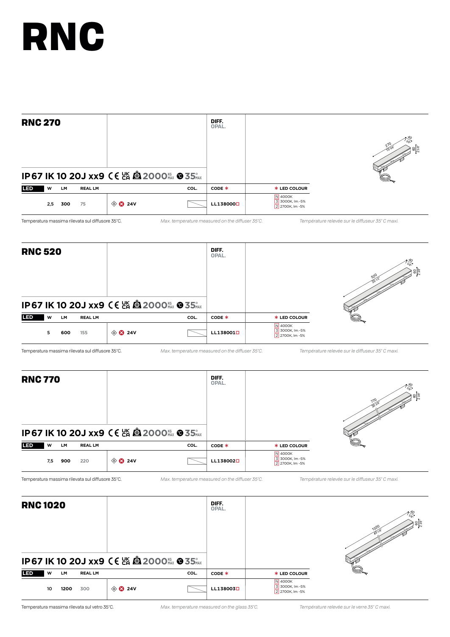| <b>RNC 270</b> |     |           | DIFF.<br>OPAL. |                                               |      |           |                                                      |  |
|----------------|-----|-----------|----------------|-----------------------------------------------|------|-----------|------------------------------------------------------|--|
|                |     |           |                | IP67 IK 10 20J xx9 CE 25 @ 2000 K&x @ 35 Shax |      |           |                                                      |  |
| <b>LED</b>     | W   | <b>LM</b> | <b>REAL LM</b> |                                               | COL. | CODE *    | <b>* LED COLOUR</b>                                  |  |
|                | 2,5 | 300       | 75             | $\circledcirc$ 24V                            |      | LL1380000 | <b>N</b> 4000K<br>3 3000K, Im -5%<br>2 2700K, Im -5% |  |

Temperatura massima rilevata sul diffusore 35°C. *Max. temperature measured on the diffuser 35°C. Température relevée sur le diffuseur 35° C maxi.*

| <b>RNC 520</b> |    |           |                |                                                  |      | DIFF.<br>OPAL.        |                                               | 52<br>ส√ |
|----------------|----|-----------|----------------|--------------------------------------------------|------|-----------------------|-----------------------------------------------|----------|
|                |    |           |                | <b>IP67 IK 10 20J xx9 C€ 25 @ 2000</b> ﷺ @ 35 ‰x |      |                       |                                               |          |
| <b>LED</b>     | W  | <b>LM</b> | <b>REAL LM</b> |                                                  | COL. | CODE *                | <b>* LED COLOUR</b>                           |          |
|                | 5. | 600       | 155            | $\circledR$ 24V                                  |      | LL138001 <sup>D</sup> | N 4000K<br>3 3000K, Im -5%<br>2 2700K, Im -5% |          |

Temperatura massima rilevata sul diffusore 35°C. *Max. temperature measured on the diffuser 35°C. Température relevée sur le diffuseur 35° C maxi.*

| <b>RNC 770</b> |     |     |                |                                                  |      | DIFF.<br>OPAL.        |                                               | 위3 |
|----------------|-----|-----|----------------|--------------------------------------------------|------|-----------------------|-----------------------------------------------|----|
|                |     |     |                | <b>IP67 IK 10 20J xx9 CE 25 @ 2000  @ 35 PAX</b> |      |                       |                                               |    |
| <b>LED</b>     | w   | LM  | <b>REAL LM</b> |                                                  | COL. | CODE *                | <b>* LED COLOUR</b>                           |    |
|                | 7,5 | 900 | 220            | $\circledcirc$ 24V                               |      | LL138002 <sub>0</sub> | N 4000K<br>3 3000K, Im -5%<br>2 2700K, Im -5% |    |

Temperatura massima rilevata sul diffusore 35°C. *Max. temperature measured on the diffuser 35°C. Température relevée sur le diffuseur 35° C maxi.*

| <b>RNC1020</b> |    |      |                |                    | DIFF.<br>OPAL.                              |                       | ျချွန္မ<br>1020                               |  |
|----------------|----|------|----------------|--------------------|---------------------------------------------|-----------------------|-----------------------------------------------|--|
|                |    |      |                |                    | IP67 IK 10 20J xx9 CE 26 @ 2000 % @ 35 % xx |                       |                                               |  |
| <b>LED</b>     | w  | LM   | <b>REAL LM</b> |                    | COL.                                        | CODE *                | <b>* LED COLOUR</b>                           |  |
|                | 10 | 1200 | 300            | $\circledcirc$ 24V |                                             | LL138003 <sup>D</sup> | N 4000K<br>3 3000K, Im -5%<br>2 2700K, Im -5% |  |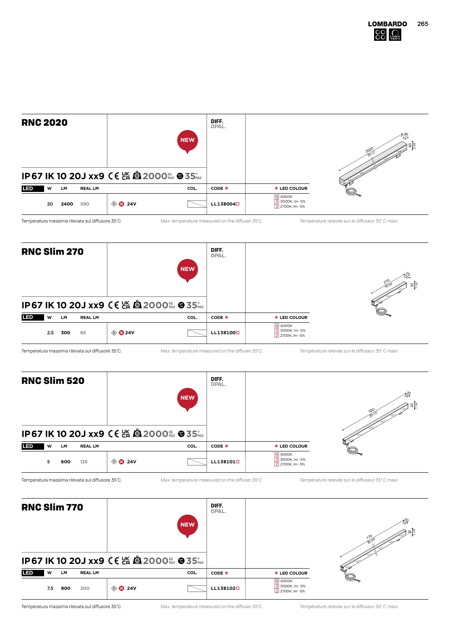| <b>RNC 2020</b> |    |      |                |                                                     | <b>NEW</b> | DIFF.<br>OPAL.        |                                               |  |
|-----------------|----|------|----------------|-----------------------------------------------------|------------|-----------------------|-----------------------------------------------|--|
|                 |    |      |                | <b>IP67 IK 10 20J xx9 CE 监 @ 2000 KGX @ 35 SHAX</b> |            |                       |                                               |  |
| <b>LED</b>      | W  | LM   | <b>REAL LM</b> |                                                     | COL.       | CODE *                | <b>* LED COLOUR</b>                           |  |
|                 | 20 | 2400 | 590            | $\circledcirc$ 24V                                  |            | LL138004 <sup>D</sup> | N 4000K<br>3 3000K, Im -5%<br>2 2700K, Im -5% |  |

Temperatura massima rilevata sul diffusore 35°C. *Max. temperature measured on the diffuser 35°C. Température relevée sur le diffuseur 35° C maxi.*





| <b>RNC Slim 770</b> |     |     |                |                    |                                                           | DIFF.<br>OPAL.        |                                               |       |
|---------------------|-----|-----|----------------|--------------------|-----------------------------------------------------------|-----------------------|-----------------------------------------------|-------|
|                     |     |     |                |                    | <b>NEW</b><br>IP67 IK 10 20J xx9 CE 2 8 2000 K&x @ 35 KAX |                       |                                               | ' జ∥≊ |
|                     |     |     |                |                    |                                                           |                       |                                               |       |
| <b>LED</b>          | W   | LM. | <b>REAL LM</b> |                    | COL.                                                      | CODE *                | * LED COLOUR                                  |       |
|                     | 7,5 | 900 | 200            | $\circledcirc$ 24V |                                                           | LL138102 <sub>0</sub> | N 4000K<br>3 3000K, Im -5%<br>2 2700K, Im -5% |       |

Temperatura massima rilevata sul diffusore 35°C. *Max. temperature measured on the diffuser 35°C. Température relevée sur le diffuseur 35° C maxi.*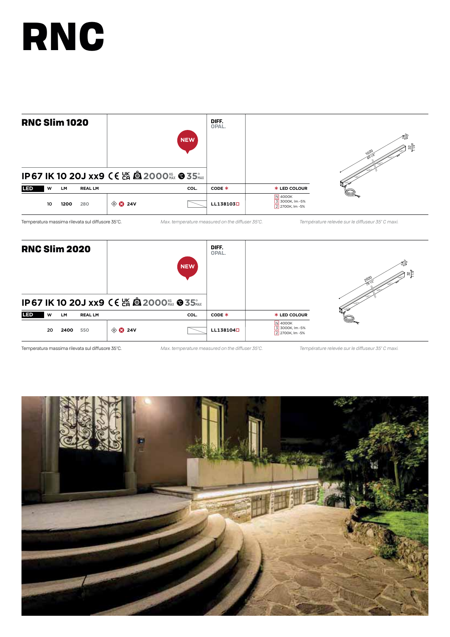

Temperatura massima rilevata sul diffusore 35°C. *Max. temperature measured on the diffuser 35°C. Température relevée sur le diffuseur 35° C maxi.*



Temperatura massima rilevata sul diffusore 35°C. *Max. temperature measured on the diffuser 35°C. Température relevée sur le diffuseur 35° C maxi.*

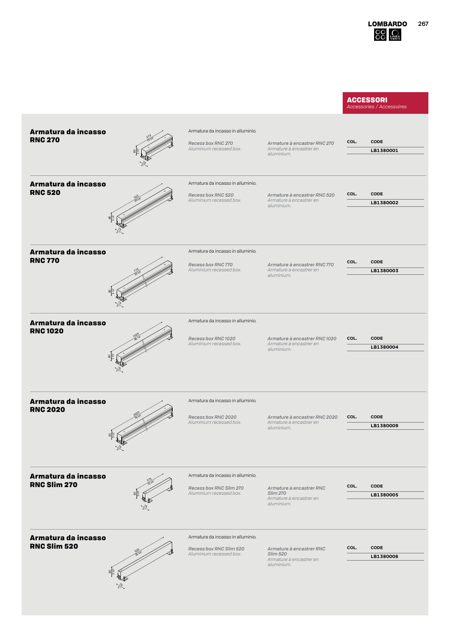#### **ACCESSORI** *Accessories / Accessoires*

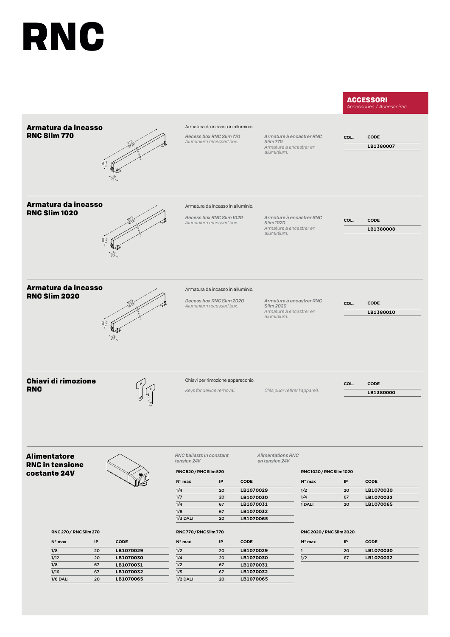#### **ACCESSORI**

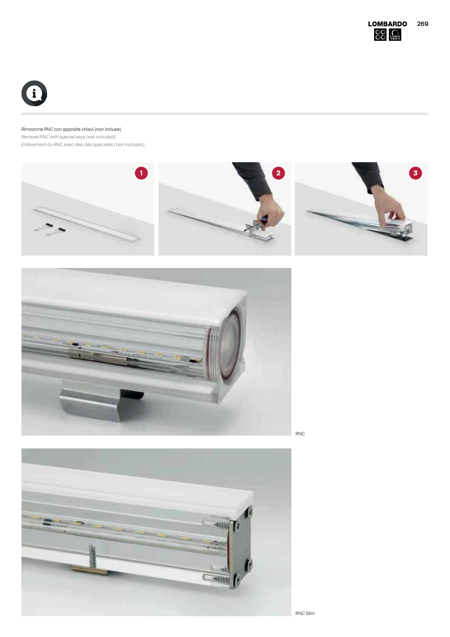

#### Rimozione RNC con apposite chiavi (non incluse).

*Remove RNC with special keys (not included). Enlèvement du RNC avec des clés spéciales (non incluses).*







RNC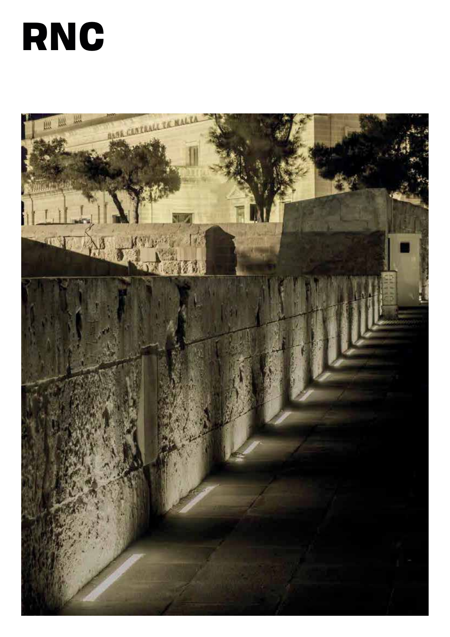